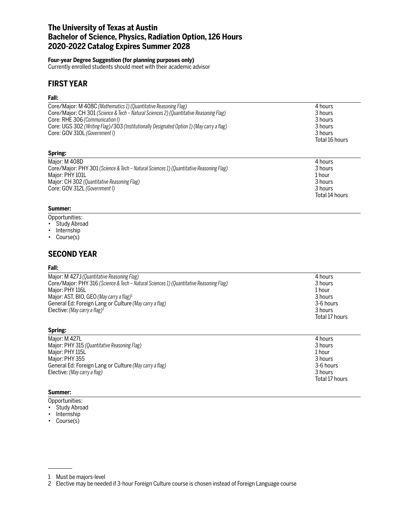## **The University of Texas at Austin Bachelor of Science, Physics, Radiation Option, 126 Hours 2020-2022 Catalog Expires Summer 2028**

### **Four-year Degree Suggestion (for planning purposes only)**

Currently enrolled students should meet with their academic advisor

# **FIRST YEAR**

### **Fall:**

| Core/Major: M 408C (Mathematics 1) (Quantitative Reasoning Flag)<br>Core/Major: CH 301 (Science & Tech – Natural Sciences 2) (Quantitative Reasoning Flag)<br>Core: RHE 306 (Communication I)<br>Core: UGS 302 (Writing Flag)/303 (Institutionally Designated Option 1) (May carry a flag)<br>Core: GOV 310L (Government I) | 4 hours<br>3 hours<br>3 hours<br>3 hours<br>3 hours<br>Total 16 hours |
|-----------------------------------------------------------------------------------------------------------------------------------------------------------------------------------------------------------------------------------------------------------------------------------------------------------------------------|-----------------------------------------------------------------------|
| Spring:                                                                                                                                                                                                                                                                                                                     |                                                                       |
| Major: M 408D<br>Core/Major: PHY 301 (Science & Tech – Natural Sciences 1) (Quantitative Reasoning Flag)<br>Major: PHY 101L<br>Major: CH 302 (Quantitative Reasoning Flag)<br>Core: GOV 312L (Government I)                                                                                                                 | 4 hours<br>3 hours<br>1 hour<br>3 hours<br>3 hours<br>Total 14 hours  |

### **Summer:**

- Opportunities:
- Study Abroad
- Internship
- Course(s)

## **SECOND YEAR**

#### **Fall:**

| Major: M 427J (Quantitative Reasoning Flag)                                             | 4 hours        |
|-----------------------------------------------------------------------------------------|----------------|
| Core/Major: PHY 316 (Science & Tech – Natural Sciences 1) (Quantitative Reasoning Flag) | 3 hours        |
| Maior: PHY 116L                                                                         | 1 hour         |
| Major: AST, BIO, GEO (May carry a flag) <sup>1</sup>                                    | 3 hours        |
| General Ed: Foreign Lang or Culture (May carry a flag)                                  | 3-6 hours      |
| Elective: (May carry a flag) <sup>2</sup>                                               | 3 hours        |
|                                                                                         | Total 17 hours |

### **Spring:**

| Maior: M 427L                                          | 4 hours        |
|--------------------------------------------------------|----------------|
| Major: PHY 315 (Quantitative Reasoning Flag)           | 3 hours        |
| Major: PHY 115L                                        | 1 hour         |
| Major: PHY 355                                         | 3 hours        |
| General Ed: Foreign Lang or Culture (May carry a flag) | 3-6 hours      |
| Elective: (May carry a flag)                           | 3 hours        |
|                                                        | Total 17 hours |

#### **Summer:**

Opportunities:

- Study Abroad
- Internship
- Course(s)

<sup>1</sup> Must be majors-level

<sup>2</sup> Elective may be needed if 3-hour Foreign Culture course is chosen instead of Foreign Language course